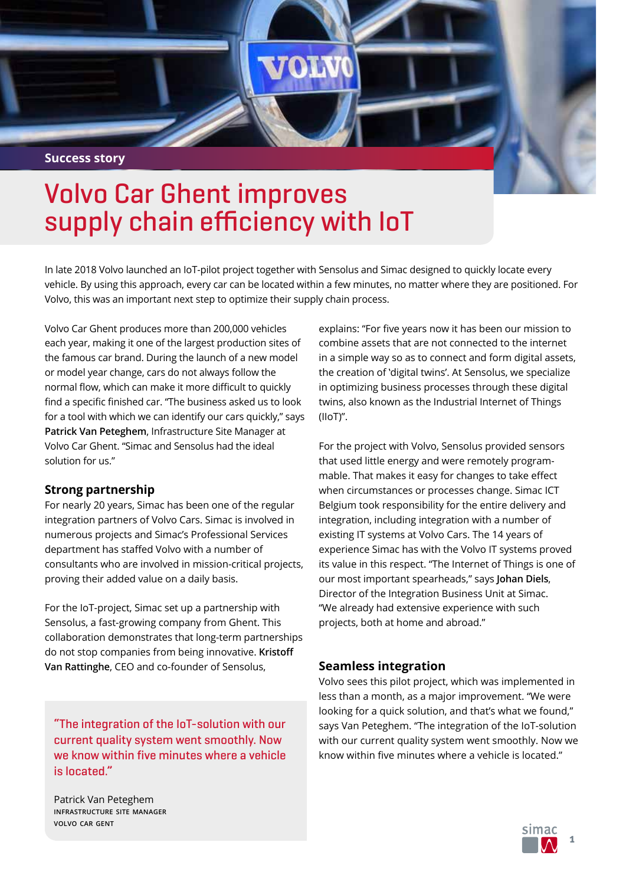# **Success story**

# Volvo Car Ghent improves supply chain efficiency with IoT

In late 2018 Volvo launched an IoT-pilot project together with Sensolus and Simac designed to quickly locate every vehicle. By using this approach, every car can be located within a few minutes, no matter where they are positioned. For Volvo, this was an important next step to optimize their supply chain process.

Volvo Car Ghent produces more than 200,000 vehicles each year, making it one of the largest production sites of the famous car brand. During the launch of a new model or model year change, cars do not always follow the normal flow, which can make it more difficult to quickly find a specific finished car. "The business asked us to look for a tool with which we can identify our cars quickly," says **Patrick Van Peteghem**, Infrastructure Site Manager at Volvo Car Ghent. "Simac and Sensolus had the ideal solution for us."

### **Strong partnership**

For nearly 20 years, Simac has been one of the regular integration partners of Volvo Cars. Simac is involved in numerous projects and Simac's Professional Services department has staffed Volvo with a number of consultants who are involved in mission-critical projects, proving their added value on a daily basis.

For the IoT-project, Simac set up a partnership with Sensolus, a fast-growing company from Ghent. This collaboration demonstrates that long-term partnerships do not stop companies from being innovative. **Kristoff Van Rattinghe**, CEO and co-founder of Sensolus,

"The integration of the IoT-solution with our current quality system went smoothly. Now we know within five minutes where a vehicle is located."

Patrick Van Peteghem **infrastructure site manager volvo car gent**

explains: "For five years now it has been our mission to combine assets that are not connected to the internet in a simple way so as to connect and form digital assets, the creation of 'digital twins'. At Sensolus, we specialize in optimizing business processes through these digital twins, also known as the Industrial Internet of Things (IIoT)".

For the project with Volvo, Sensolus provided sensors that used little energy and were remotely programmable. That makes it easy for changes to take effect when circumstances or processes change. Simac ICT Belgium took responsibility for the entire delivery and integration, including integration with a number of existing IT systems at Volvo Cars. The 14 years of experience Simac has with the Volvo IT systems proved its value in this respect. "The Internet of Things is one of our most important spearheads," says **Johan Diels**, Director of the Integration Business Unit at Simac. "We already had extensive experience with such projects, both at home and abroad."

### **Seamless integration**

Volvo sees this pilot project, which was implemented in less than a month, as a major improvement. "We were looking for a quick solution, and that's what we found," says Van Peteghem. "The integration of the IoT-solution with our current quality system went smoothly. Now we know within five minutes where a vehicle is located."